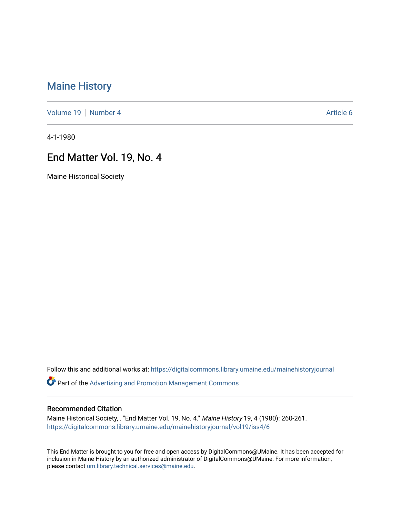# [Maine History](https://digitalcommons.library.umaine.edu/mainehistoryjournal)

[Volume 19](https://digitalcommons.library.umaine.edu/mainehistoryjournal/vol19) [Number 4](https://digitalcommons.library.umaine.edu/mainehistoryjournal/vol19/iss4) Article 6

4-1-1980

## End Matter Vol. 19, No. 4

Maine Historical Society

Follow this and additional works at: [https://digitalcommons.library.umaine.edu/mainehistoryjournal](https://digitalcommons.library.umaine.edu/mainehistoryjournal?utm_source=digitalcommons.library.umaine.edu%2Fmainehistoryjournal%2Fvol19%2Fiss4%2F6&utm_medium=PDF&utm_campaign=PDFCoverPages) 

Part of the [Advertising and Promotion Management Commons](http://network.bepress.com/hgg/discipline/626?utm_source=digitalcommons.library.umaine.edu%2Fmainehistoryjournal%2Fvol19%2Fiss4%2F6&utm_medium=PDF&utm_campaign=PDFCoverPages) 

#### Recommended Citation

Maine Historical Society, . "End Matter Vol. 19, No. 4." Maine History 19, 4 (1980): 260-261. [https://digitalcommons.library.umaine.edu/mainehistoryjournal/vol19/iss4/6](https://digitalcommons.library.umaine.edu/mainehistoryjournal/vol19/iss4/6?utm_source=digitalcommons.library.umaine.edu%2Fmainehistoryjournal%2Fvol19%2Fiss4%2F6&utm_medium=PDF&utm_campaign=PDFCoverPages)

This End Matter is brought to you for free and open access by DigitalCommons@UMaine. It has been accepted for inclusion in Maine History by an authorized administrator of DigitalCommons@UMaine. For more information, please contact [um.library.technical.services@maine.edu.](mailto:um.library.technical.services@maine.edu)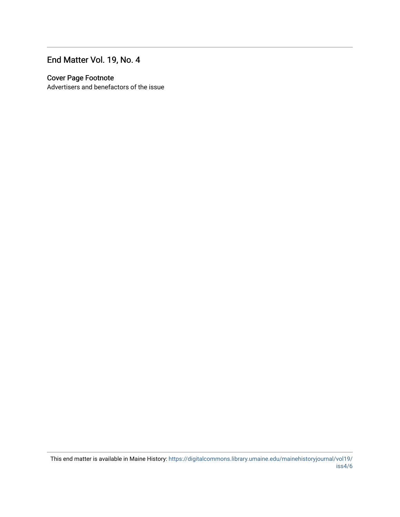# End Matter Vol. 19, No. 4

#### Cover Page Footnote

Advertisers and benefactors of the issue

This end matter is available in Maine History: [https://digitalcommons.library.umaine.edu/mainehistoryjournal/vol19/](https://digitalcommons.library.umaine.edu/mainehistoryjournal/vol19/iss4/6) [iss4/6](https://digitalcommons.library.umaine.edu/mainehistoryjournal/vol19/iss4/6)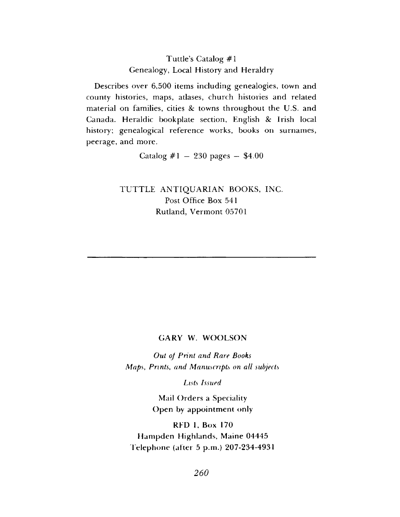## **Tuttle's Catalog #1 Genealogy, Local History and Heraldry**

**Describes over 6,500 items including genealogies, town and county histories, maps, atlases, church histories and related material on families, cities** *8c* **towns throughout the U.S. and Canada. Heraldic bookplate section, English** *8c* **Irish local history; genealogical reference works, books on surnames, peerage, and more.**

**Catalog #1 — 230 pages — \$4.00**

**TUTTLE ANTIQUARIAN BOOKS, INC. Post Office Box 541 Rutland, Vermont 05701**

#### GARY W. WOOLSON

*Out of Print and Rare Books M aps***,** *Prints***,** *and Manuscripts on all subjects*

*Lists Issued*

**Mail Orders a Speciality** Open by appointment only

**RFD 1, Box 170 Hampden Highlands, Maine 04445 T elep h on e (alter 5 p.m.) 207-234-4931**